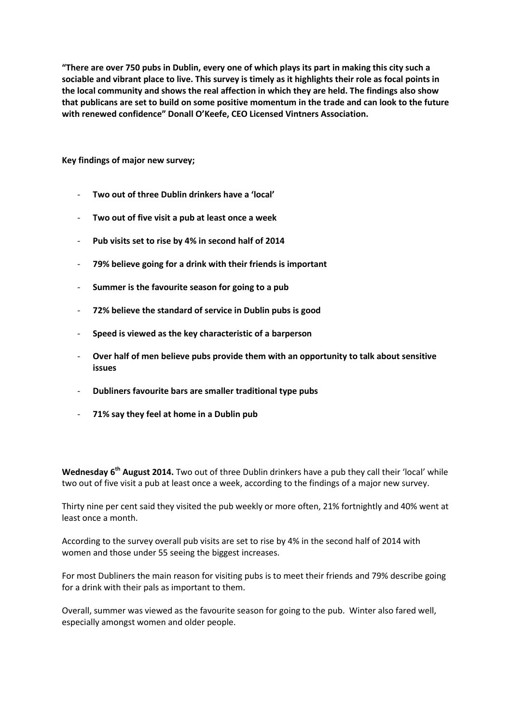**"There are over 750 pubs in Dublin, every one of which plays its part in making this city such a sociable and vibrant place to live. This survey is timely as it highlights their role as focal points in the local community and shows the real affection in which they are held. The findings also show that publicans are set to build on some positive momentum in the trade and can look to the future with renewed confidence" Donall O'Keefe, CEO Licensed Vintners Association.**

**Key findings of major new survey;**

- **Two out of three Dublin drinkers have a 'local'**
- **Two out of five visit a pub at least once a week**
- **Pub visits set to rise by 4% in second half of 2014**
- **79% believe going for a drink with their friends is important**
- **Summer is the favourite season for going to a pub**
- **72% believe the standard of service in Dublin pubs is good**
- **Speed is viewed as the key characteristic of a barperson**
- **Over half of men believe pubs provide them with an opportunity to talk about sensitive issues**
- **Dubliners favourite bars are smaller traditional type pubs**
- **71% say they feel at home in a Dublin pub**

**Wednesday 6th August 2014.** Two out of three Dublin drinkers have a pub they call their 'local' while two out of five visit a pub at least once a week, according to the findings of a major new survey.

Thirty nine per cent said they visited the pub weekly or more often, 21% fortnightly and 40% went at least once a month.

According to the survey overall pub visits are set to rise by 4% in the second half of 2014 with women and those under 55 seeing the biggest increases.

For most Dubliners the main reason for visiting pubs is to meet their friends and 79% describe going for a drink with their pals as important to them.

Overall, summer was viewed as the favourite season for going to the pub. Winter also fared well, especially amongst women and older people.